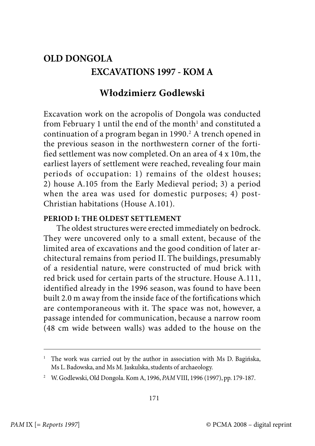## **OLD DONGOLA EXCAVATIONS 1997 - KOM A**

## **Włodzimierz Godlewski**

Excavation work on the acropolis of Dongola was conducted from February 1 until the end of the month $^{\rm l}$  and constituted a continuation of a program began in 1990.<sup>2</sup> A trench opened in the previous season in the northwestern corner of the fortified settlement was now completed. On an area of 4 x 10m, the earliest layers of settlement were reached, revealing four main periods of occupation: 1) remains of the oldest houses; 2) house A.105 from the Early Medieval period; 3) a period when the area was used for domestic purposes; 4) post-Christian habitations (House A.101).

## **PERIOD I: THE OLDEST SETTLEMENT**

The oldest structures were erected immediately on bedrock. They were uncovered only to a small extent, because of the limited area of excavations and the good condition of later architectural remains from period II. The buildings, presumably of a residential nature, were constructed of mud brick with red brick used for certain parts of the structure. House A.111, identified already in the 1996 season, was found to have been built 2.0 m away from the inside face of the fortifications which are contemporaneous with it. The space was not, however, a passage intended for communication, because a narrow room (48 cm wide between walls) was added to the house on the

<sup>&</sup>lt;sup>1</sup> The work was carried out by the author in association with Ms D. Bagińska, Ms L. Badowska, and Ms M. Jaskulska, students of archaeology.

<sup>2</sup> W. Godlewski, Old Dongola. Kom A, 1996, PAM VIII, 1996 (1997), pp. 179-187.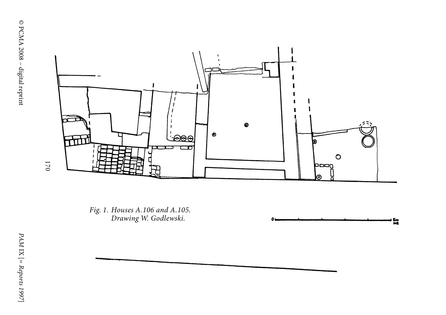

Fig. 1. Houses A.106 and A.105.<br>Drawing W. Godlewski.<br> $\sum_{n=1}^{\infty}$ <br> $\sum_{n=1}^{\infty}$ <br> $\sum_{n=1}^{\infty}$ <br> $\sum_{n=1}^{\infty}$ 



171 170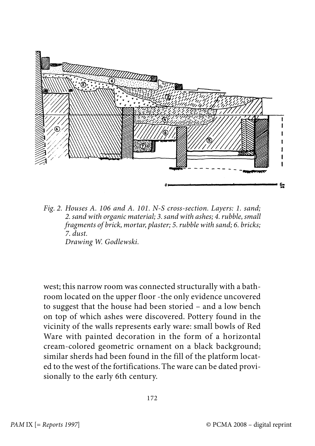

Fig. 2. Houses A. 106 and A. 101. N-S cross-section. Layers: 1. sand; 2. sand with organic material; 3. sand with ashes; 4. rubble, small fragments of brick, mortar, plaster; 5. rubble with sand; 6. bricks; 7. dust. Drawing W. Godlewski.

west; this narrow room was connected structurally with a bathroom located on the upper floor -the only evidence uncovered to suggest that the house had been storied – and a low bench on top of which ashes were discovered. Pottery found in the vicinity of the walls represents early ware: small bowls of Red Ware with painted decoration in the form of a horizontal cream-colored geometric ornament on a black background; similar sherds had been found in the fill of the platform located to the west of the fortifications. The ware can be dated provisionally to the early 6th century.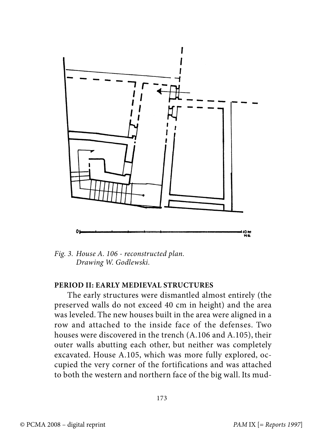

Fig. 3. House A. 106 - reconstructed plan. Drawing W. Godlewski.

## **PERIOD II: EARLY MEDIEVAL STRUCTURES**

The early structures were dismantled almost entirely (the preserved walls do not exceed 40 cm in height) and the area was leveled. The new houses built in the area were aligned in a row and attached to the inside face of the defenses. Two houses were discovered in the trench (A.106 and A.105), their outer walls abutting each other, but neither was completely excavated. House A.105, which was more fully explored, occupied the very corner of the fortifications and was attached to both the western and northern face of the big wall. Its mud-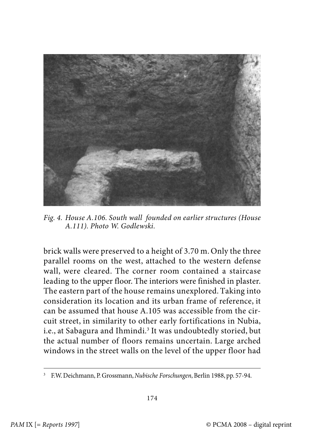

Fig. 4. House A.106. South wall founded on earlier structures (House A.111). Photo W. Godlewski.

brick walls were preserved to a height of 3.70 m. Only the three parallel rooms on the west, attached to the western defense wall, were cleared. The corner room contained a staircase leading to the upper floor. The interiors were finished in plaster. The eastern part of the house remains unexplored. Taking into consideration its location and its urban frame of reference, it can be assumed that house A.105 was accessible from the circuit street, in similarity to other early fortifications in Nubia, i.e., at Sabagura and Ihmindi.<sup>3</sup> It was undoubtedly storied, but the actual number of floors remains uncertain. Large arched windows in the street walls on the level of the upper floor had

<sup>&</sup>lt;sup>3</sup> F.W. Deichmann, P. Grossmann, Nubische Forschungen, Berlin 1988, pp. 57-94.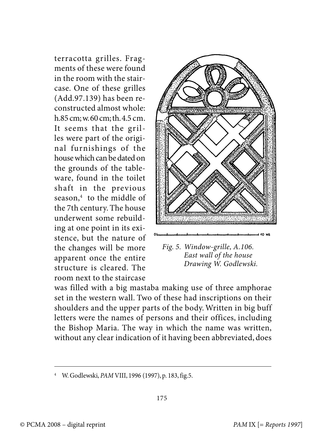terracotta grilles. Fragments of these were found in the room with the staircase. One of these grilles (Add.97.139) has been reconstructed almost whole: h.85 cm; w. 60 cm; th. 4.5 cm. It seems that the grilles were part of the original furnishings of the house which can be dated on the grounds of the tableware, found in the toilet shaft in the previous season,<sup>4</sup> to the middle of the 7th century. The house underwent some rebuilding at one point in its existence, but the nature of the changes will be more apparent once the entire structure is cleared. The room next to the staircase



Fig. 5. Window-grille, A.106. East wall of the house Drawing W. Godlewski.

was filled with a big mastaba making use of three amphorae set in the western wall. Two of these had inscriptions on their shoulders and the upper parts of the body. Written in big buff letters were the names of persons and their offices, including the Bishop Maria. The way in which the name was written, without any clear indication of it having been abbreviated, does

<sup>4</sup> W. Godlewski, PAM VIII, 1996 (1997), p. 183, fig.5.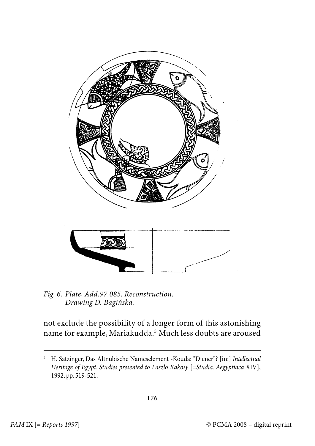

Fig. 6. Plate, Add.97.085. Reconstruction. Drawing D. Bagińska.

not exclude the possibility of a longer form of this astonishing name for example, Mariakudda.<sup>5</sup> Much less doubts are aroused

<sup>5</sup> H. Satzinger, Das Altnubische Nameselement -Kouda: "Diener"? [in:] Intellectual Heritage of Egypt. Studies presented to Laszlo Kakosy [=Studia. Aegyptiaca XIV], 1992, pp. 519-521.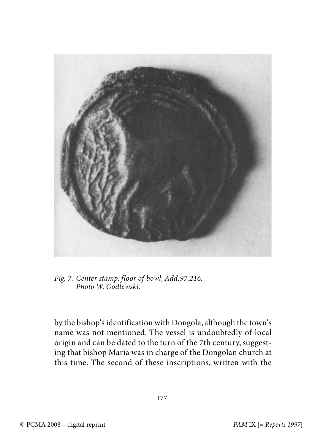

Fig. 7. Center stamp, floor of bowl, Add.97.216. Photo W. Godlewski.

by the bishop's identification with Dongola, although the town's name was not mentioned. The vessel is undoubtedly of local origin and can be dated to the turn of the 7th century, suggesting that bishop Maria was in charge of the Dongolan church at this time. The second of these inscriptions, written with the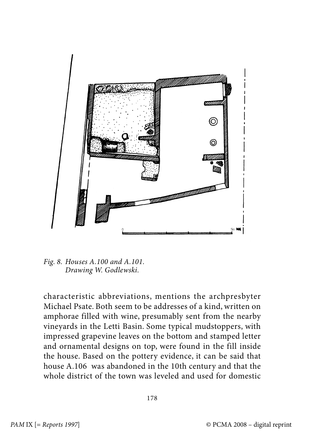

Fig. 8. Houses A.100 and A.101. Drawing W. Godlewski.

characteristic abbreviations, mentions the archpresbyter Michael Psate. Both seem to be addresses of a kind, written on amphorae filled with wine, presumably sent from the nearby vineyards in the Letti Basin. Some typical mudstoppers, with impressed grapevine leaves on the bottom and stamped letter and ornamental designs on top, were found in the fill inside the house. Based on the pottery evidence, it can be said that house A.106 was abandoned in the 10th century and that the whole district of the town was leveled and used for domestic